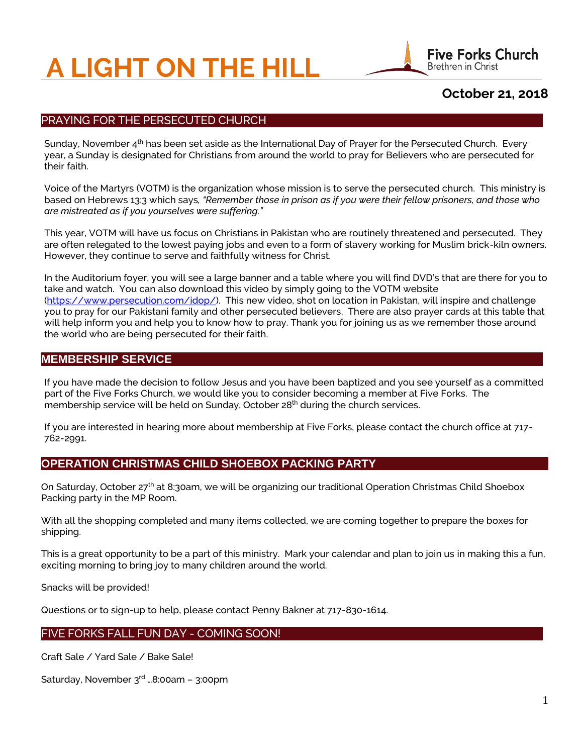# **A LIGHT ON THE HILL**



# **October 21, 2018**

## PRAYING FOR THE PERSECUTED CHURCH

Sunday, November  $4<sup>th</sup>$  has been set aside as the International Day of Prayer for the Persecuted Church. Every year, a Sunday is designated for Christians from around the world to pray for Believers who are persecuted for their faith.

Voice of the Martyrs (VOTM) is the organization whose mission is to serve the persecuted church. This ministry is based on Hebrews 13:3 which says*, "Remember those in prison as if you were their fellow prisoners, and those who are mistreated as if you yourselves were suffering."*

This year, VOTM will have us focus on Christians in Pakistan who are routinely threatened and persecuted. They are often relegated to the lowest paying jobs and even to a form of slavery working for Muslim brick-kiln owners. However, they continue to serve and faithfully witness for Christ.

In the Auditorium foyer, you will see a large banner and a table where you will find DVD's that are there for you to take and watch. You can also download this video by simply going to the VOTM website [\(https://www.persecution.com/idop/\)](https://www.persecution.com/idop/). This new video, shot on location in Pakistan, will inspire and challenge you to pray for our Pakistani family and other persecuted believers. There are also prayer cards at this table that will help inform you and help you to know how to pray. Thank you for joining us as we remember those around the world who are being persecuted for their faith.

## **MEMBERSHIP SERVICE**

If you have made the decision to follow Jesus and you have been baptized and you see yourself as a committed part of the Five Forks Church, we would like you to consider becoming a member at Five Forks. The membership service will be held on Sunday, October 28<sup>th</sup> during the church services.

If you are interested in hearing more about membership at Five Forks, please contact the church office at 717- 762-2991.

## **OPERATION CHRISTMAS CHILD SHOEBOX PACKING PARTY**

On Saturday, October 27<sup>th</sup> at 8:30am, we will be organizing our traditional Operation Christmas Child Shoebox Packing party in the MP Room.

With all the shopping completed and many items collected, we are coming together to prepare the boxes for shipping.

This is a great opportunity to be a part of this ministry. Mark your calendar and plan to join us in making this a fun, exciting morning to bring joy to many children around the world.

Snacks will be provided!

Questions or to sign-up to help, please contact Penny Bakner at 717-830-1614.

## FIVE FORKS FALL FUN DAY - COMING SOON!

Craft Sale / Yard Sale / Bake Sale!

Saturday, November 3rd …8:00am – 3:00pm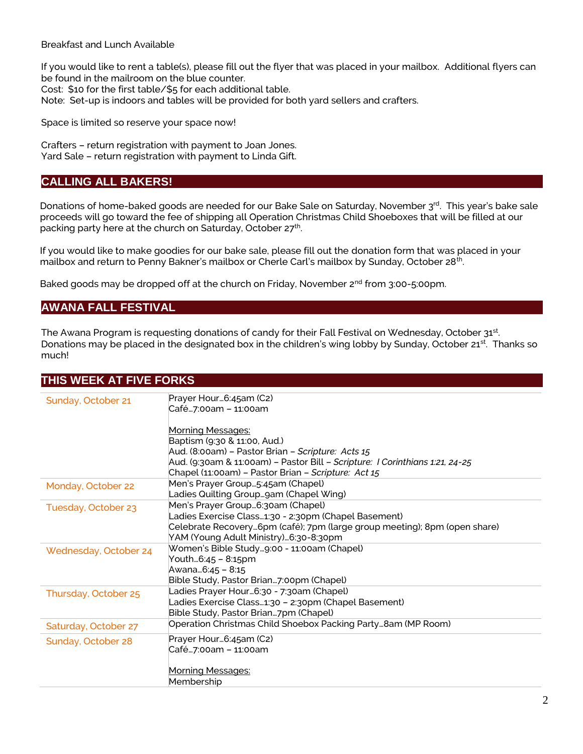Breakfast and Lunch Available

If you would like to rent a table(s), please fill out the flyer that was placed in your mailbox. Additional flyers can be found in the mailroom on the blue counter.

Cost: \$10 for the first table/\$5 for each additional table.

Note: Set-up is indoors and tables will be provided for both yard sellers and crafters.

Space is limited so reserve your space now!

Crafters – return registration with payment to Joan Jones. Yard Sale – return registration with payment to Linda Gift.

## **CALLING ALL BAKERS!**

Donations of home-baked goods are needed for our Bake Sale on Saturday, November 3rd. This year's bake sale proceeds will go toward the fee of shipping all Operation Christmas Child Shoeboxes that will be filled at our packing party here at the church on Saturday, October 27<sup>th</sup>.

If you would like to make goodies for our bake sale, please fill out the donation form that was placed in your mailbox and return to Penny Bakner's mailbox or Cherle Carl's mailbox by Sunday, October 28<sup>th</sup>.

Baked goods may be dropped off at the church on Friday, November  $2^{nd}$  from 3:00-5:00pm.

## **AWANA FALL FESTIVAL**

The Awana Program is requesting donations of candy for their Fall Festival on Wednesday, October  $31^{st}$ . Donations may be placed in the designated box in the children's wing lobby by Sunday, October 21<sup>st</sup>. Thanks so much!

## **THIS WEEK AT FIVE FORKS**

| Sunday, October 21    | Prayer Hour6:45am (C2)                                                       |
|-----------------------|------------------------------------------------------------------------------|
|                       | Café7:00am – 11:00am                                                         |
|                       |                                                                              |
|                       | <b>Morning Messages:</b>                                                     |
|                       | Baptism (9:30 & 11:00, Aud.)                                                 |
|                       | Aud. (8:00am) - Pastor Brian - Scripture: Acts 15                            |
|                       | Aud. (9:30am & 11:00am) - Pastor Bill - Scripture: I Corinthians 1:21, 24-25 |
|                       | Chapel (11:00am) - Pastor Brian - Scripture: Act 15                          |
| Monday, October 22    | Men's Prayer Group5:45am (Chapel)                                            |
|                       | Ladies Quilting Group…gam (Chapel Wing)                                      |
| Tuesday, October 23   | Men's Prayer Group6:30am (Chapel)                                            |
|                       | Ladies Exercise Class1:30 - 2:30pm (Chapel Basement)                         |
|                       | Celebrate Recovery6pm (café); 7pm (large group meeting); 8pm (open share)    |
|                       | YAM (Young Adult Ministry)6:30-8:30pm                                        |
| Wednesday, October 24 | Women's Bible Study9:00 - 11:00am (Chapel)                                   |
|                       | Youth6:45 - 8:15pm                                                           |
|                       | Awana6:45 - 8:15                                                             |
|                       | Bible Study, Pastor Brian7:00pm (Chapel)                                     |
| Thursday, October 25  | Ladies Prayer Hour…6:30 - 7:30am (Chapel)                                    |
|                       | Ladies Exercise Class1:30 - 2:30pm (Chapel Basement)                         |
|                       | Bible Study, Pastor Brian7pm (Chapel)                                        |
| Saturday, October 27  | Operation Christmas Child Shoebox Packing Party8am (MP Room)                 |
| Sunday, October 28    | Prayer Hour6:45am (C2)                                                       |
|                       | Café7:00am – 11:00am                                                         |
|                       |                                                                              |
|                       | Morning Messages:                                                            |
|                       | Membership                                                                   |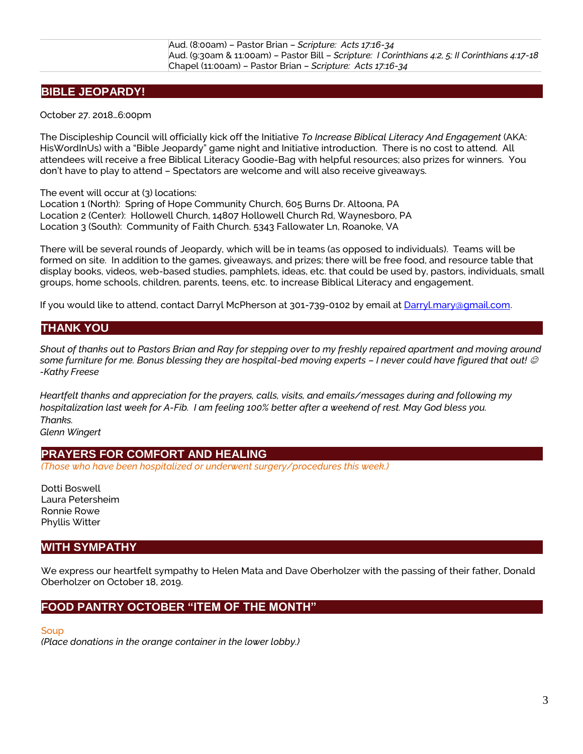# **BIBLE JEOPARDY!**

October 27. 2018…6:00pm

The Discipleship Council will officially kick off the Initiative *To Increase Biblical Literacy And Engagement* (AKA: HisWordInUs) with a "Bible Jeopardy" game night and Initiative introduction. There is no cost to attend. All attendees will receive a free Biblical Literacy Goodie-Bag with helpful resources; also prizes for winners. You don't have to play to attend – Spectators are welcome and will also receive giveaways.

The event will occur at (3) locations:

Location 1 (North): Spring of Hope Community Church, 605 Burns Dr. Altoona, PA Location 2 (Center): Hollowell Church, 14807 Hollowell Church Rd, Waynesboro, PA Location 3 (South): Community of Faith Church. 5343 Fallowater Ln, Roanoke, VA

There will be several rounds of Jeopardy, which will be in teams (as opposed to individuals). Teams will be formed on site. In addition to the games, giveaways, and prizes; there will be free food, and resource table that display books, videos, web-based studies, pamphlets, ideas, etc. that could be used by, pastors, individuals, small groups, home schools, children, parents, teens, etc. to increase Biblical Literacy and engagement.

If you would like to attend, contact Darryl McPherson at 301-739-0102 by email at [Darryl.mary@gmail.com.](mailto:Darryl.mary@gmail.com)

# **THANK YOU**

*Shout of thanks out to Pastors Brian and Ray for stepping over to my freshly repaired apartment and moving around some furniture for me. Bonus blessing they are hospital-bed moving experts – I never could have figured that out! -Kathy Freese*

*Heartfelt thanks and appreciation for the prayers, calls, visits, and emails/messages during and following my hospitalization last week for A-Fib. I am feeling 100% better after a weekend of rest. May God bless you. Thanks.*

*Glenn Wingert*

## **PRAYERS FOR COMFORT AND HEALING**

*(Those who have been hospitalized or underwent surgery/procedures this week.)*

Dotti Boswell Laura Petersheim Ronnie Rowe Phyllis Witter

# **WITH SYMPATHY**

We express our heartfelt sympathy to Helen Mata and Dave Oberholzer with the passing of their father, Donald Oberholzer on October 18, 2019.

# **FOOD PANTRY OCTOBER "ITEM OF THE MONTH"**

**Soup** 

*(Place donations in the orange container in the lower lobby.)*